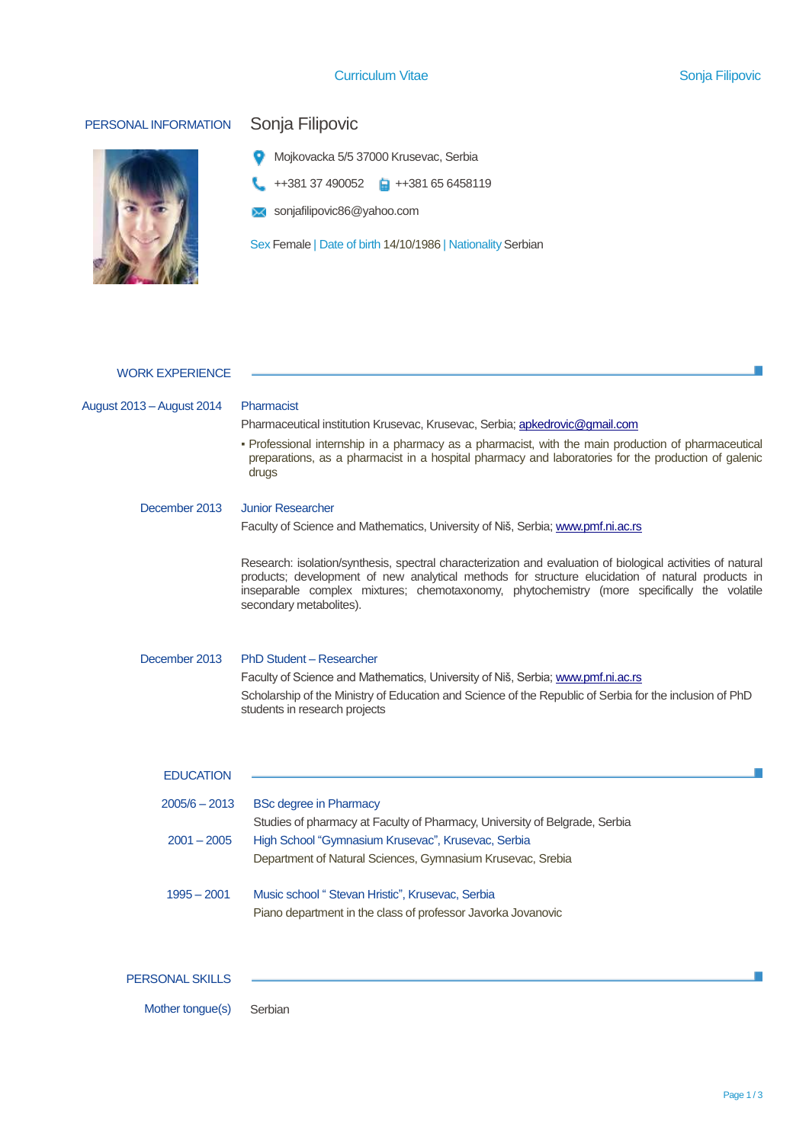## Curriculum Vitae Sonja Filipovic



# PERSONAL INFORMATION Sonja Filipovic

- Mojkovacka 5/5 37000 Krusevac, Serbia
- $\leftarrow$  ++381 37 490052  $\leftarrow$  ++381 65 6458119
- sonjafilipovic86@yahoo.com

Sex Female | Date of birth 14/10/1986 | Nationality Serbian

| <b>WORK EXPERIENCE</b>                                                |                                                                                                                                                                                                                                                                                                                                                                                                                                                          |  |  |  |  |
|-----------------------------------------------------------------------|----------------------------------------------------------------------------------------------------------------------------------------------------------------------------------------------------------------------------------------------------------------------------------------------------------------------------------------------------------------------------------------------------------------------------------------------------------|--|--|--|--|
| August 2013 - August 2014                                             | Pharmacist<br>Pharmaceutical institution Krusevac, Krusevac, Serbia; apkedrovic@gmail.com<br>• Professional internship in a pharmacy as a pharmacist, with the main production of pharmaceutical<br>preparations, as a pharmacist in a hospital pharmacy and laboratories for the production of galenic<br>drugs                                                                                                                                         |  |  |  |  |
| December 2013                                                         | <b>Junior Researcher</b><br>Faculty of Science and Mathematics, University of Niš, Serbia; www.pmf.ni.ac.rs<br>Research: isolation/synthesis, spectral characterization and evaluation of biological activities of natural<br>products; development of new analytical methods for structure elucidation of natural products in<br>inseparable complex mixtures; chemotaxonomy, phytochemistry (more specifically the volatile<br>secondary metabolites). |  |  |  |  |
| December 2013                                                         | PhD Student - Researcher<br>Faculty of Science and Mathematics, University of Niš, Serbia; www.pmf.ni.ac.rs<br>Scholarship of the Ministry of Education and Science of the Republic of Serbia for the inclusion of PhD<br>students in research projects                                                                                                                                                                                                  |  |  |  |  |
| <b>EDUCATION</b><br>$2005/6 - 2013$<br>$2001 - 2005$<br>$1995 - 2001$ | <b>BSc degree in Pharmacy</b><br>Studies of pharmacy at Faculty of Pharmacy, University of Belgrade, Serbia<br>High School "Gymnasium Krusevac", Krusevac, Serbia<br>Department of Natural Sciences, Gymnasium Krusevac, Srebia<br>Music school "Stevan Hristic", Krusevac, Serbia<br>Piano department in the class of professor Javorka Jovanovic                                                                                                       |  |  |  |  |
| <b>PERSONAL SKILLS</b>                                                |                                                                                                                                                                                                                                                                                                                                                                                                                                                          |  |  |  |  |

Mother tongue(s) Serbian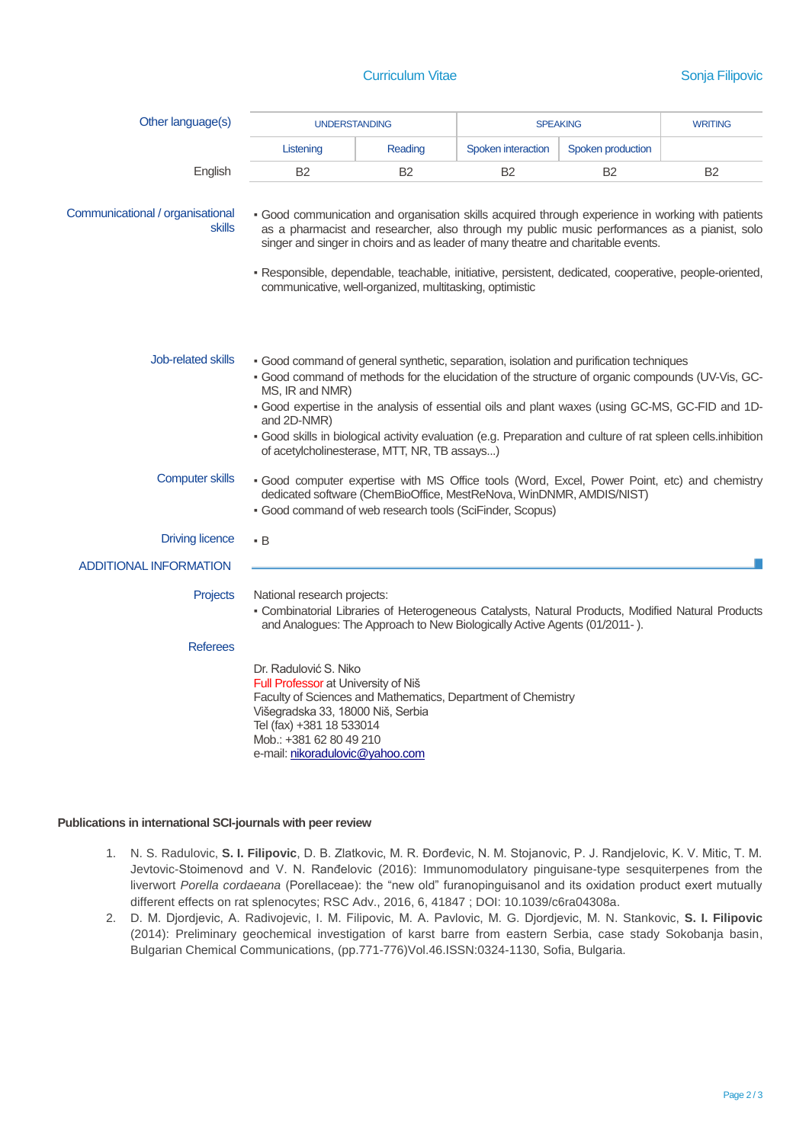## **Curriculum Vitae Sonja Filipovic** Sonja Filipovic

| Other language(s)                                 | <b>UNDERSTANDING</b>                                                                                                                                                                                                                                                                                                                                                                                                                                                                            |           | <b>SPEAKING</b>    |                   | <b>WRITING</b> |  |
|---------------------------------------------------|-------------------------------------------------------------------------------------------------------------------------------------------------------------------------------------------------------------------------------------------------------------------------------------------------------------------------------------------------------------------------------------------------------------------------------------------------------------------------------------------------|-----------|--------------------|-------------------|----------------|--|
|                                                   | Listening                                                                                                                                                                                                                                                                                                                                                                                                                                                                                       | Reading   | Spoken interaction | Spoken production |                |  |
| English                                           | B2                                                                                                                                                                                                                                                                                                                                                                                                                                                                                              | <b>B2</b> | B <sub>2</sub>     | <b>B2</b>         | <b>B2</b>      |  |
| Communicational / organisational<br><b>skills</b> | - Good communication and organisation skills acquired through experience in working with patients<br>as a pharmacist and researcher, also through my public music performances as a pianist, solo<br>singer and singer in choirs and as leader of many theatre and charitable events.<br>- Responsible, dependable, teachable, initiative, persistent, dedicated, cooperative, people-oriented,<br>communicative, well-organized, multitasking, optimistic                                      |           |                    |                   |                |  |
| <b>Job-related skills</b>                         | • Good command of general synthetic, separation, isolation and purification techniques<br>- Good command of methods for the elucidation of the structure of organic compounds (UV-Vis, GC-<br>MS, IR and NMR)<br>- Good expertise in the analysis of essential oils and plant waxes (using GC-MS, GC-FID and 1D-<br>and 2D-NMR)<br>· Good skills in biological activity evaluation (e.g. Preparation and culture of rat spleen cells.inhibition<br>of acetylcholinesterase, MTT, NR, TB assays) |           |                    |                   |                |  |
| <b>Computer skills</b>                            | - Good computer expertise with MS Office tools (Word, Excel, Power Point, etc) and chemistry<br>dedicated software (ChemBioOffice, MestReNova, WinDNMR, AMDIS/NIST)<br>· Good command of web research tools (SciFinder, Scopus)                                                                                                                                                                                                                                                                 |           |                    |                   |                |  |
| <b>Driving licence</b>                            | $\cdot$ B                                                                                                                                                                                                                                                                                                                                                                                                                                                                                       |           |                    |                   |                |  |
| <b>ADDITIONAL INFORMATION</b>                     |                                                                                                                                                                                                                                                                                                                                                                                                                                                                                                 |           |                    |                   |                |  |
| <b>Projects</b>                                   | National research projects:<br>- Combinatorial Libraries of Heterogeneous Catalysts, Natural Products, Modified Natural Products<br>and Analogues: The Approach to New Biologically Active Agents (01/2011-).                                                                                                                                                                                                                                                                                   |           |                    |                   |                |  |
| <b>Referees</b>                                   |                                                                                                                                                                                                                                                                                                                                                                                                                                                                                                 |           |                    |                   |                |  |
|                                                   | Dr. Radulović S. Niko<br>Full Professor at University of Niš<br>Faculty of Sciences and Mathematics, Department of Chemistry<br>Višegradska 33, 18000 Niš, Serbia<br>Tel (fax) +381 18 533014<br>Mob.: +381 62 80 49 210<br>e-mail: nikoradulovic@yahoo.com                                                                                                                                                                                                                                     |           |                    |                   |                |  |

## **Publications in international SCI-journals with peer review**

- 1. N. S. Radulovic, **S. I. Filipovic**, D. B. Zlatkovic, M. R. Đorđevic, N. M. Stojanovic, P. J. Randjelovic, K. V. Mitic, T. M. Jevtovic-Stoimenovd and V. N. Ranđelovic (2016): Immunomodulatory pinguisane-type sesquiterpenes from the liverwort *Porella cordaeana* (Porellaceae): the "new old" furanopinguisanol and its oxidation product exert mutually different effects on rat splenocytes; RSC Adv., 2016, 6, 41847 ; DOI: 10.1039/c6ra04308a.
- 2. D. М. Djordjevic, А. Radivojevic, I. М. Filipovic, М. А. Pavlovic, М. G. Djordjevic, М. N. Stankovic, **S. I. Filipovic** (2014): Preliminary geochemical investigation of karst barre from eastern Serbia, case stady Sokobanja basin, Bulgarian Chemical Communications, (pp.771-776)Vol.46.ISSN:0324-1130, Sofia, Bulgaria.